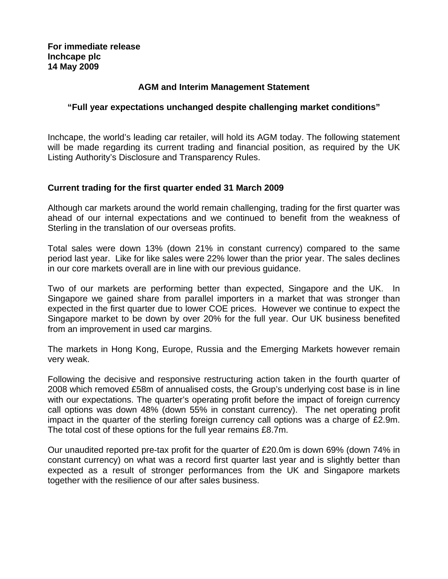# **AGM and Interim Management Statement**

## **"Full year expectations unchanged despite challenging market conditions"**

Inchcape, the world's leading car retailer, will hold its AGM today. The following statement will be made regarding its current trading and financial position, as required by the UK Listing Authority's Disclosure and Transparency Rules.

### **Current trading for the first quarter ended 31 March 2009**

Although car markets around the world remain challenging, trading for the first quarter was ahead of our internal expectations and we continued to benefit from the weakness of Sterling in the translation of our overseas profits.

Total sales were down 13% (down 21% in constant currency) compared to the same period last year. Like for like sales were 22% lower than the prior year. The sales declines in our core markets overall are in line with our previous guidance.

Two of our markets are performing better than expected, Singapore and the UK. In Singapore we gained share from parallel importers in a market that was stronger than expected in the first quarter due to lower COE prices. However we continue to expect the Singapore market to be down by over 20% for the full year. Our UK business benefited from an improvement in used car margins.

The markets in Hong Kong, Europe, Russia and the Emerging Markets however remain very weak.

Following the decisive and responsive restructuring action taken in the fourth quarter of 2008 which removed £58m of annualised costs, the Group's underlying cost base is in line with our expectations. The quarter's operating profit before the impact of foreign currency call options was down 48% (down 55% in constant currency). The net operating profit impact in the quarter of the sterling foreign currency call options was a charge of £2.9m. The total cost of these options for the full year remains £8.7m.

Our unaudited reported pre-tax profit for the quarter of £20.0m is down 69% (down 74% in constant currency) on what was a record first quarter last year and is slightly better than expected as a result of stronger performances from the UK and Singapore markets together with the resilience of our after sales business.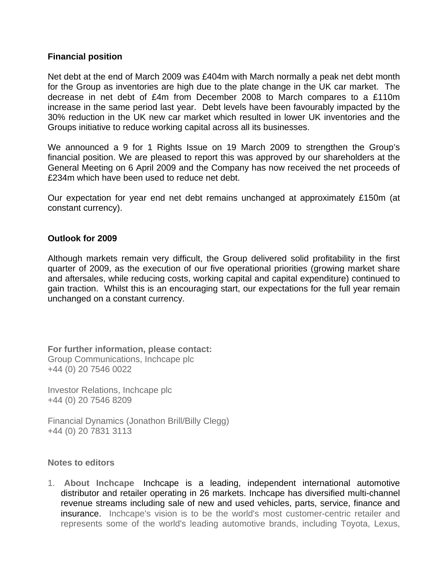# **Financial position**

Net debt at the end of March 2009 was £404m with March normally a peak net debt month for the Group as inventories are high due to the plate change in the UK car market. The decrease in net debt of £4m from December 2008 to March compares to a £110m increase in the same period last year. Debt levels have been favourably impacted by the 30% reduction in the UK new car market which resulted in lower UK inventories and the Groups initiative to reduce working capital across all its businesses.

We announced a 9 for 1 Rights Issue on 19 March 2009 to strengthen the Group's financial position. We are pleased to report this was approved by our shareholders at the General Meeting on 6 April 2009 and the Company has now received the net proceeds of £234m which have been used to reduce net debt.

Our expectation for year end net debt remains unchanged at approximately £150m (at constant currency).

### **Outlook for 2009**

Although markets remain very difficult, the Group delivered solid profitability in the first quarter of 2009, as the execution of our five operational priorities (growing market share and aftersales, while reducing costs, working capital and capital expenditure) continued to gain traction. Whilst this is an encouraging start, our expectations for the full year remain unchanged on a constant currency.

**For further information, please contact:** Group Communications, Inchcape plc +44 (0) 20 7546 0022

Investor Relations, Inchcape plc +44 (0) 20 7546 8209

Financial Dynamics (Jonathon Brill/Billy Clegg) +44 (0) 20 7831 3113

#### **Notes to editors**

1. **About Inchcape** Inchcape is a leading, independent international automotive distributor and retailer operating in 26 markets. Inchcape has diversified multi-channel revenue streams including sale of new and used vehicles, parts, service, finance and insurance. Inchcape's vision is to be the world's most customer-centric retailer and represents some of the world's leading automotive brands, including Toyota, Lexus,